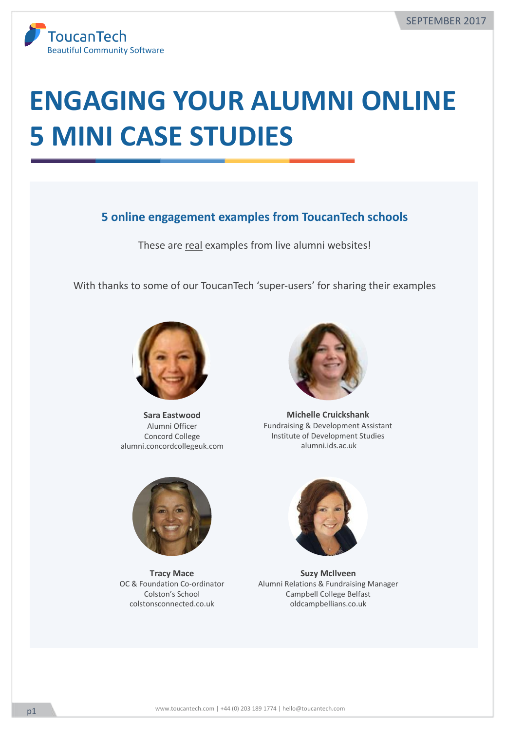

# **ENGAGING YOUR ALUMNI ONLINE 5 MINI CASE STUDIES**

### **5** online engagement examples from ToucanTech schools

These are real examples from live alumni websites!

With thanks to some of our ToucanTech 'super-users' for sharing their examples



**Sara Eastwood** Alumni Officer Concord College alumni.concordcollegeuk.com



**Michelle Cruickshank** Fundraising & Development Assistant Institute of Development Studies alumni.ids.ac.uk



**Tracy Mace**  OC & Foundation Co-ordinator Colston's School colstonsconnected.co.uk



**Suzy McIlveen** Alumni Relations & Fundraising Manager Campbell College Belfast oldcampbellians.co.uk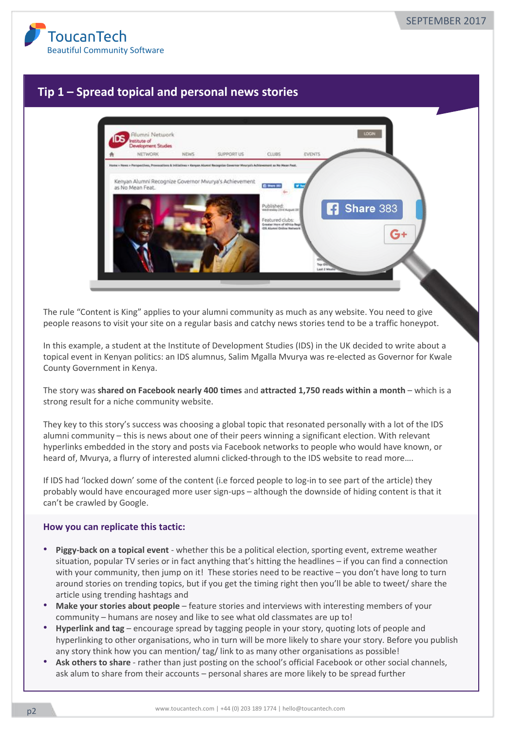

## **Tip 1 - Spread topical and personal news stories**



The rule "Content is King" applies to your alumni community as much as any website. You need to give people reasons to visit your site on a regular basis and catchy news stories tend to be a traffic honeypot.

In this example, a student at the Institute of Development Studies (IDS) in the UK decided to write about a topical event in Kenyan politics: an IDS alumnus, Salim Mgalla Mvurya was re-elected as Governor for Kwale County Government in Kenya.

The story was shared on Facebook nearly 400 times and attracted 1,750 reads within a month – which is a strong result for a niche community website.

They key to this story's success was choosing a global topic that resonated personally with a lot of the IDS alumni community – this is news about one of their peers winning a significant election. With relevant hyperlinks embedded in the story and posts via Facebook networks to people who would have known, or heard of, Mvurya, a flurry of interested alumni clicked-through to the IDS website to read more....

If IDS had 'locked down' some of the content (i.e forced people to log-in to see part of the article) they probably would have encouraged more user sign-ups - although the downside of hiding content is that it can't be crawled by Google.

- **Piggy-back on a topical event** whether this be a political election, sporting event, extreme weather situation, popular TV series or in fact anything that's hitting the headlines – if you can find a connection with your community, then jump on it! These stories need to be reactive - you don't have long to turn around stories on trending topics, but if you get the timing right then you'll be able to tweet/ share the article using trending hashtags and
- Make your stories about people feature stories and interviews with interesting members of your community – humans are nosey and like to see what old classmates are up to!
- Hyperlink and tag encourage spread by tagging people in your story, quoting lots of people and hyperlinking to other organisations, who in turn will be more likely to share your story. Before you publish any story think how you can mention/ tag/ link to as many other organisations as possible!
- Ask others to share rather than just posting on the school's official Facebook or other social channels, ask alum to share from their accounts – personal shares are more likely to be spread further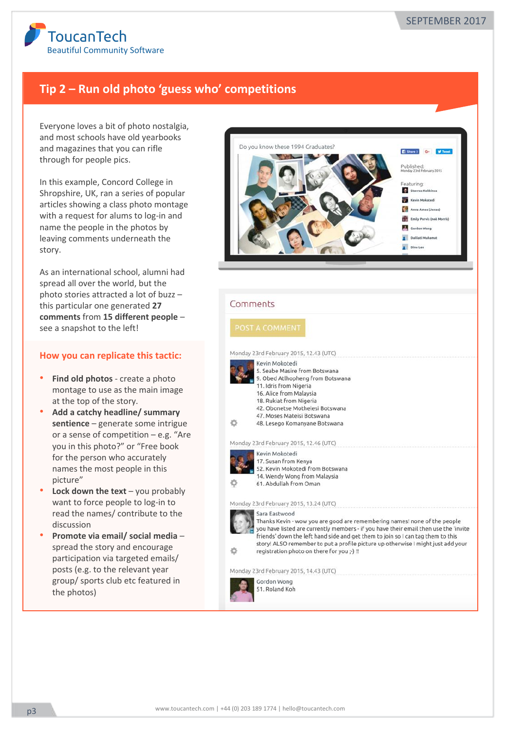

# Tip 2 – Run old photo 'guess who' competitions

Everyone loves a bit of photo nostalgia, and most schools have old yearbooks and magazines that you can rifle through for people pics.

In this example, Concord College in Shropshire, UK, ran a series of popular articles showing a class photo montage with a request for alums to log-in and name the people in the photos by leaving comments underneath the story. 

As an international school, alumni had spread all over the world, but the photo stories attracted a lot of buzz this particular one generated 27 **comments** from 15 different people see a snapshot to the left!

- Find old photos create a photo montage to use as the main image at the top of the story.
- Add a catchy headline/ summary sentience - generate some intrigue or a sense of competition  $-$  e.g. "Are you in this photo?" or "Free book for the person who accurately names the most people in this picture"
- **Lock down the text** you probably want to force people to log-in to read the names/ contribute to the discussion
- Promote via email/ social media spread the story and encourage participation via targeted emails/ posts (e.g. to the relevant year group/ sports club etc featured in the photos)

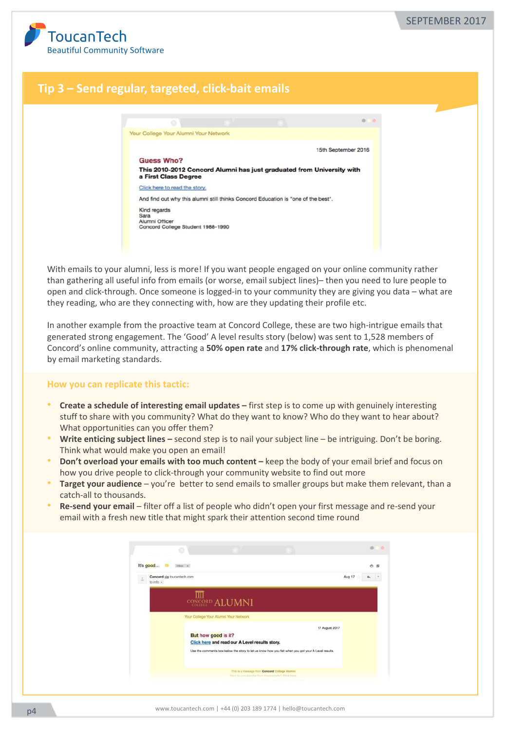

## **Tip 3 – Send regular, targeted, click-bait emails**



With emails to your alumni, less is more! If you want people engaged on your online community rather than gathering all useful info from emails (or worse, email subject lines)– then you need to lure people to open and click-through. Once someone is logged-in to your community they are giving you data – what are they reading, who are they connecting with, how are they updating their profile etc.

In another example from the proactive team at Concord College, these are two high-intrigue emails that generated strong engagement. The 'Good' A level results story (below) was sent to 1,528 members of Concord's online community, attracting a 50% open rate and 17% click-through rate, which is phenomenal by email marketing standards.

- **Create a schedule of interesting email updates –** first step is to come up with genuinely interesting stuff to share with you community? What do they want to know? Who do they want to hear about? What opportunities can you offer them?
- Write enticing subject lines second step is to nail your subject line be intriguing. Don't be boring. Think what would make you open an email!
- **Don't overload your emails with too much content** keep the body of your email brief and focus on how you drive people to click-through your community website to find out more
- **Target your audience** you're better to send emails to smaller groups but make them relevant, than a catch-all to thousands.
- Re-send your email filter off a list of people who didn't open your first message and re-send your email with a fresh new title that might spark their attention second time round

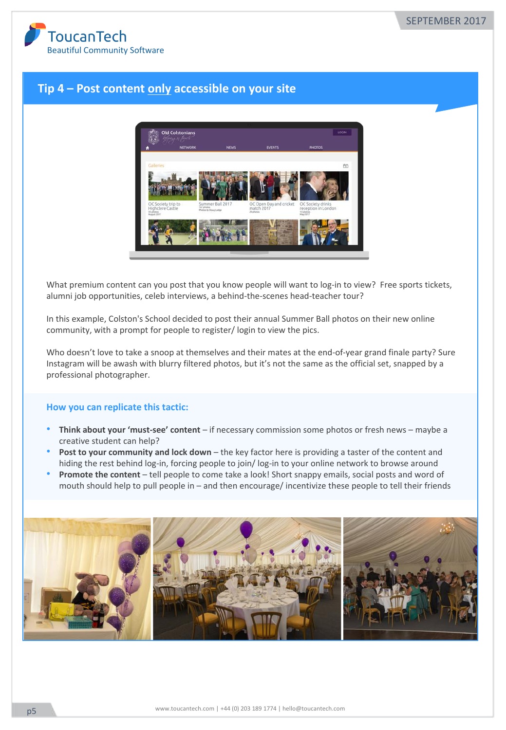

## **Tip 4 - Post content only accessible on your site**



What premium content can you post that you know people will want to log-in to view? Free sports tickets, alumni job opportunities, celeb interviews, a behind-the-scenes head-teacher tour?

In this example, Colston's School decided to post their annual Summer Ball photos on their new online community, with a prompt for people to register/ login to view the pics.

Who doesn't love to take a snoop at themselves and their mates at the end-of-year grand finale party? Sure Instagram will be awash with blurry filtered photos, but it's not the same as the official set, snapped by a professional photographer.

- **Think about your 'must-see' content** if necessary commission some photos or fresh news maybe a creative student can help?
- **Post to your community and lock down** the key factor here is providing a taster of the content and hiding the rest behind log-in, forcing people to join/ log-in to your online network to browse around
- **Promote the content** tell people to come take a look! Short snappy emails, social posts and word of mouth should help to pull people in  $-$  and then encourage/ incentivize these people to tell their friends